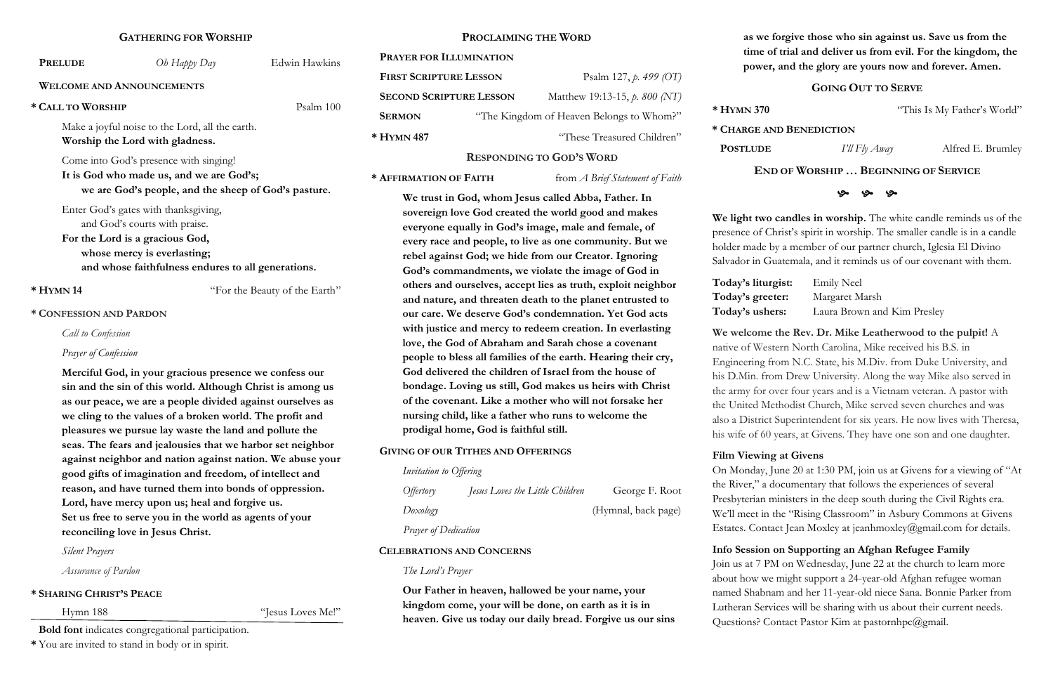### **GATHERING FOR WORSHIP**

| <b>PRELUDE</b>                                                                     | Oh Happy Day                                                                                                                                                                                  | Edwin Hawkins                 |
|------------------------------------------------------------------------------------|-----------------------------------------------------------------------------------------------------------------------------------------------------------------------------------------------|-------------------------------|
|                                                                                    | <b>WELCOME AND ANNOUNCEMENTS</b>                                                                                                                                                              |                               |
| * CALL TO WORSHIP                                                                  |                                                                                                                                                                                               | Psalm 100                     |
| Make a joyful noise to the Lord, all the earth.<br>Worship the Lord with gladness. |                                                                                                                                                                                               |                               |
|                                                                                    | Come into God's presence with singing!<br>It is God who made us, and we are God's;<br>we are God's people, and the sheep of God's pasture.                                                    |                               |
|                                                                                    | Enter God's gates with thanksgiving,<br>and God's courts with praise.<br>For the Lord is a gracious God,<br>whose mercy is everlasting;<br>and whose faithfulness endures to all generations. |                               |
| $*$ HYMN 14                                                                        |                                                                                                                                                                                               | "For the Beauty of the Earth" |
| * CONFESSION AND PARDON                                                            |                                                                                                                                                                                               |                               |
| <b>Call to Confession</b>                                                          |                                                                                                                                                                                               |                               |
| Prayer of Confession                                                               |                                                                                                                                                                                               |                               |
|                                                                                    | Merciful God, in your gracious presence we confess our                                                                                                                                        |                               |

**sin and the sin of this world. Although Christ is among us as our peace, we are a people divided against ourselves as we cling to the values of a broken world. The profit and pleasures we pursue lay waste the land and pollute the seas. The fears and jealousies that we harbor set neighbor against neighbor and nation against nation. We abuse your good gifts of imagination and freedom, of intellect and reason, and have turned them into bonds of oppression. Lord, have mercy upon us; heal and forgive us. Set us free to serve you in the world as agents of your reconciling love in Jesus Christ.** 

*Silent Prayers* 

*Assurance of Pardon*

### **\* SHARING CHRIST'S PEACE**

Hymn 188 "Jesus Loves Me!"

**Bold font** indicates congregational participation.

**\*** You are invited to stand in body or in spirit.

### **PROCLAIMING THE WORD**

| <b>PRAYER FOR ILLUMINATION</b> |                                          |                               |  |
|--------------------------------|------------------------------------------|-------------------------------|--|
| <b>FIRST SCRIPTURE LESSON</b>  |                                          | Psalm 127, $p. 499$ (OT)      |  |
| <b>SECOND SCRIPTURE LESSON</b> |                                          | Matthew 19:13-15, p. 800 (NT) |  |
| <b>SERMON</b>                  | "The Kingdom of Heaven Belongs to Whom?" |                               |  |
| * HYMN 487                     |                                          | "These Treasured Children"    |  |

### **RESPONDING TO GOD'S WORD**

**\* AFFIRMATION OF FAITH** from *A Brief Statement of Faith*

On Monday, June 20 at 1:30 PM, join us at Givens for a viewing of "At the River," a documentary that follows the experiences of several Presbyterian ministers in the deep south during the Civil Rights era. We'll meet in the "Rising Classroom" in Asbury Commons at Givens Estates. Contact Jean Moxley at jeanhmoxley@gmail.com for details.

**We trust in God, whom Jesus called Abba, Father. In sovereign love God created the world good and makes everyone equally in God's image, male and female, of every race and people, to live as one community. But we rebel against God; we hide from our Creator. Ignoring God's commandments, we violate the image of God in others and ourselves, accept lies as truth, exploit neighbor and nature, and threaten death to the planet entrusted to our care. We deserve God's condemnation. Yet God acts with justice and mercy to redeem creation. In everlasting love, the God of Abraham and Sarah chose a covenant people to bless all families of the earth. Hearing their cry, God delivered the children of Israel from the house of bondage. Loving us still, God makes us heirs with Christ of the covenant. Like a mother who will not forsake her nursing child, like a father who runs to welcome the prodigal home, God is faithful still.** 

> Join us at 7 PM on Wednesday, June 22 at the church to learn more about how we might support a 24-year-old Afghan refugee woman named Shabnam and her 11-year-old niece Sana. Bonnie Parker from Lutheran Services will be sharing with us about their current needs. Questions? Contact Pastor Kim at pastornhpc@gmail.

### **GIVING OF OUR TITHES AND OFFERINGS**

| Invitation to Offering |                                 |                     |
|------------------------|---------------------------------|---------------------|
| <i>Offertory</i>       | Jesus Loves the Little Children | George F. Root      |
| Doxology               |                                 | (Hymnal, back page) |
| Prayer of Dedication   |                                 |                     |

### **CELEBRATIONS AND CONCERNS**

*The Lord's Prayer*

**Our Father in heaven, hallowed be your name, your kingdom come, your will be done, on earth as it is in heaven. Give us today our daily bread. Forgive us our sins** 

**as we forgive those who sin against us. Save us from the time of trial and deliver us from evil. For the kingdom, the power, and the glory are yours now and forever. Amen.**

Today's liturg **Today's greet** Today's usher

### **GOING OUT TO SERVE**

**\* HYMN 370** "This Is My Father's World"

**\* CHARGE AND BENEDICTION**

**POSTLUDE** *I'll Fly Away* Alfred E. Brumley

**END OF WORSHIP … BEGINNING OF SERVICE**

### **ري ري**

**We light two candles in worship.** The white candle reminds us of the presence of Christ's spirit in worship. The smaller candle is in a candle holder made by a member of our partner church, Iglesia El Divino Salvador in Guatemala, and it reminds us of our covenant with them.

| gist: | <b>Emily Neel</b>           |
|-------|-----------------------------|
| ter:  | Margaret Marsh              |
| rs:   | Laura Brown and Kim Presley |

**We welcome the Rev. Dr. Mike Leatherwood to the pulpit!** A native of Western North Carolina, Mike received his B.S. in Engineering from N.C. State, his M.Div. from Duke University, and his D.Min. from Drew University. Along the way Mike also served in the army for over four years and is a Vietnam veteran. A pastor with the United Methodist Church, Mike served seven churches and was also a District Superintendent for six years. He now lives with Theresa, his wife of 60 years, at Givens. They have one son and one daughter.

### **Film Viewing at Givens**

### **Info Session on Supporting an Afghan Refugee Family**